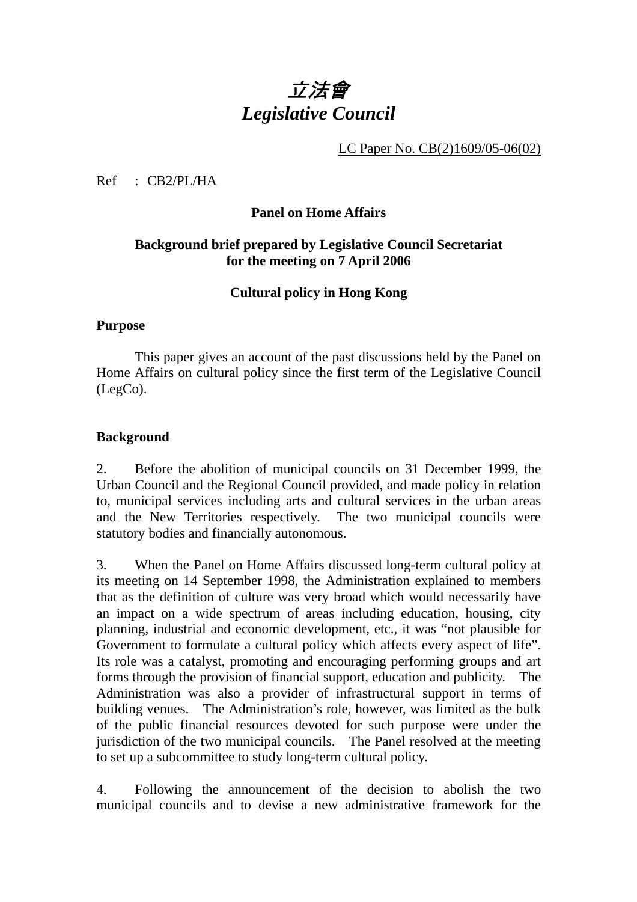# 立法會 *Legislative Council*

LC Paper No. CB(2)1609/05-06(02)

Ref : CB2/PL/HA

### **Panel on Home Affairs**

## **Background brief prepared by Legislative Council Secretariat for the meeting on 7 April 2006**

## **Cultural policy in Hong Kong**

#### **Purpose**

This paper gives an account of the past discussions held by the Panel on Home Affairs on cultural policy since the first term of the Legislative Council (LegCo).

### **Background**

2. Before the abolition of municipal councils on 31 December 1999, the Urban Council and the Regional Council provided, and made policy in relation to, municipal services including arts and cultural services in the urban areas and the New Territories respectively. The two municipal councils were statutory bodies and financially autonomous.

3. When the Panel on Home Affairs discussed long-term cultural policy at its meeting on 14 September 1998, the Administration explained to members that as the definition of culture was very broad which would necessarily have an impact on a wide spectrum of areas including education, housing, city planning, industrial and economic development, etc., it was "not plausible for Government to formulate a cultural policy which affects every aspect of life". Its role was a catalyst, promoting and encouraging performing groups and art forms through the provision of financial support, education and publicity. The Administration was also a provider of infrastructural support in terms of building venues. The Administration's role, however, was limited as the bulk of the public financial resources devoted for such purpose were under the jurisdiction of the two municipal councils. The Panel resolved at the meeting to set up a subcommittee to study long-term cultural policy.

4. Following the announcement of the decision to abolish the two municipal councils and to devise a new administrative framework for the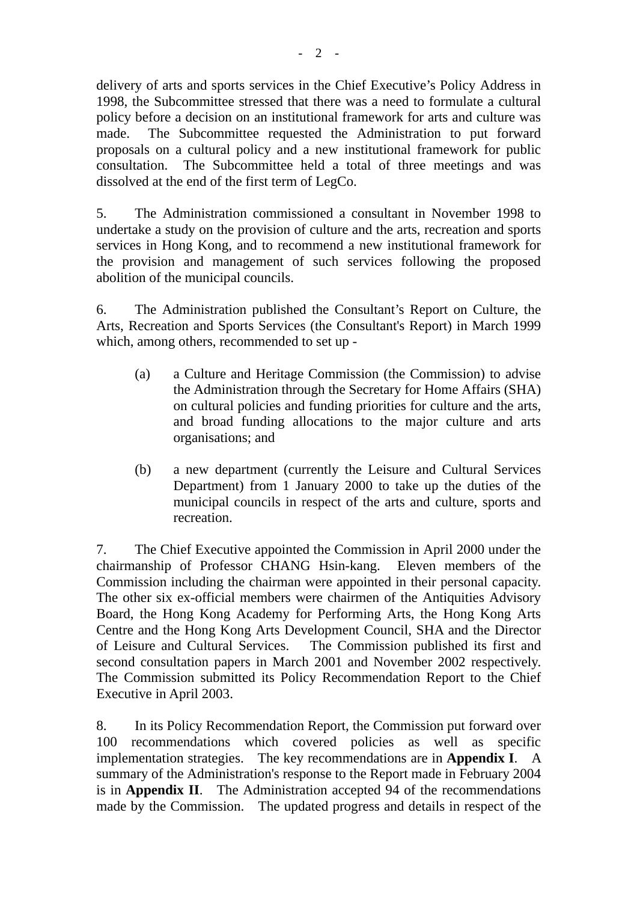delivery of arts and sports services in the Chief Executive's Policy Address in 1998, the Subcommittee stressed that there was a need to formulate a cultural policy before a decision on an institutional framework for arts and culture was made. The Subcommittee requested the Administration to put forward proposals on a cultural policy and a new institutional framework for public consultation. The Subcommittee held a total of three meetings and was dissolved at the end of the first term of LegCo.

5. The Administration commissioned a consultant in November 1998 to undertake a study on the provision of culture and the arts, recreation and sports services in Hong Kong, and to recommend a new institutional framework for the provision and management of such services following the proposed abolition of the municipal councils.

6. The Administration published the Consultant's Report on Culture, the Arts, Recreation and Sports Services (the Consultant's Report) in March 1999 which, among others, recommended to set up -

- (a) a Culture and Heritage Commission (the Commission) to advise the Administration through the Secretary for Home Affairs (SHA) on cultural policies and funding priorities for culture and the arts, and broad funding allocations to the major culture and arts organisations; and
- (b) a new department (currently the Leisure and Cultural Services Department) from 1 January 2000 to take up the duties of the municipal councils in respect of the arts and culture, sports and recreation.

7. The Chief Executive appointed the Commission in April 2000 under the chairmanship of Professor CHANG Hsin-kang. Eleven members of the Commission including the chairman were appointed in their personal capacity. The other six ex-official members were chairmen of the Antiquities Advisory Board, the Hong Kong Academy for Performing Arts, the Hong Kong Arts Centre and the Hong Kong Arts Development Council, SHA and the Director of Leisure and Cultural Services. The Commission published its first and second consultation papers in March 2001 and November 2002 respectively. The Commission submitted its Policy Recommendation Report to the Chief Executive in April 2003.

8. In its Policy Recommendation Report, the Commission put forward over 100 recommendations which covered policies as well as specific implementation strategies. The key recommendations are in **Appendix I**. A summary of the Administration's response to the Report made in February 2004 is in **Appendix II**. The Administration accepted 94 of the recommendations made by the Commission. The updated progress and details in respect of the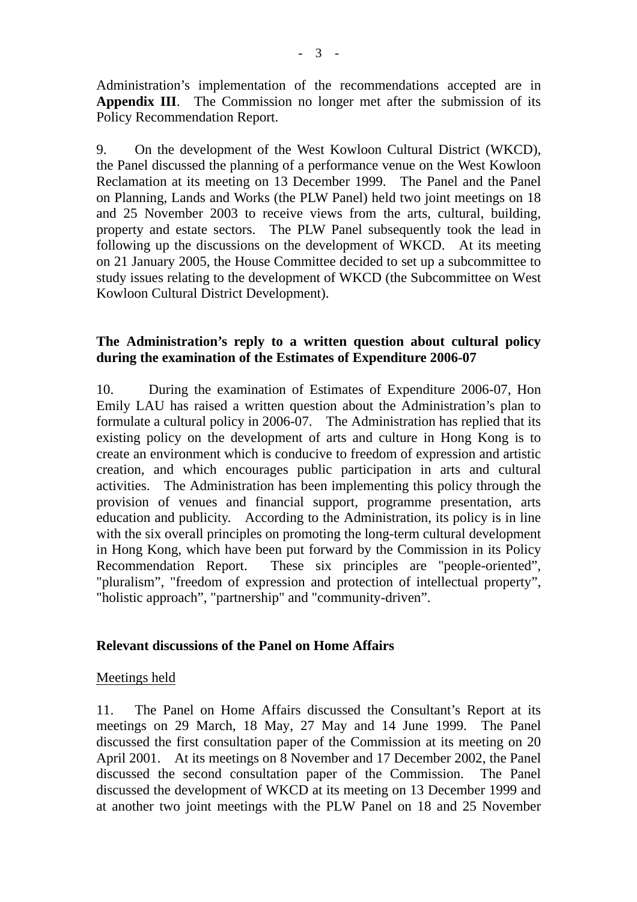Administration's implementation of the recommendations accepted are in **Appendix III**. The Commission no longer met after the submission of its Policy Recommendation Report.

9. On the development of the West Kowloon Cultural District (WKCD), the Panel discussed the planning of a performance venue on the West Kowloon Reclamation at its meeting on 13 December 1999. The Panel and the Panel on Planning, Lands and Works (the PLW Panel) held two joint meetings on 18 and 25 November 2003 to receive views from the arts, cultural, building, property and estate sectors. The PLW Panel subsequently took the lead in following up the discussions on the development of WKCD. At its meeting on 21 January 2005, the House Committee decided to set up a subcommittee to study issues relating to the development of WKCD (the Subcommittee on West Kowloon Cultural District Development).

## **The Administration's reply to a written question about cultural policy during the examination of the Estimates of Expenditure 2006-07**

10. During the examination of Estimates of Expenditure 2006-07, Hon Emily LAU has raised a written question about the Administration's plan to formulate a cultural policy in 2006-07. The Administration has replied that its existing policy on the development of arts and culture in Hong Kong is to create an environment which is conducive to freedom of expression and artistic creation, and which encourages public participation in arts and cultural activities. The Administration has been implementing this policy through the provision of venues and financial support, programme presentation, arts education and publicity. According to the Administration, its policy is in line with the six overall principles on promoting the long-term cultural development in Hong Kong, which have been put forward by the Commission in its Policy Recommendation Report. These six principles are "people-oriented", "pluralism", "freedom of expression and protection of intellectual property", "holistic approach", "partnership" and "community-driven".

## **Relevant discussions of the Panel on Home Affairs**

### Meetings held

11. The Panel on Home Affairs discussed the Consultant's Report at its meetings on 29 March, 18 May, 27 May and 14 June 1999. The Panel discussed the first consultation paper of the Commission at its meeting on 20 April 2001. At its meetings on 8 November and 17 December 2002, the Panel discussed the second consultation paper of the Commission. The Panel discussed the development of WKCD at its meeting on 13 December 1999 and at another two joint meetings with the PLW Panel on 18 and 25 November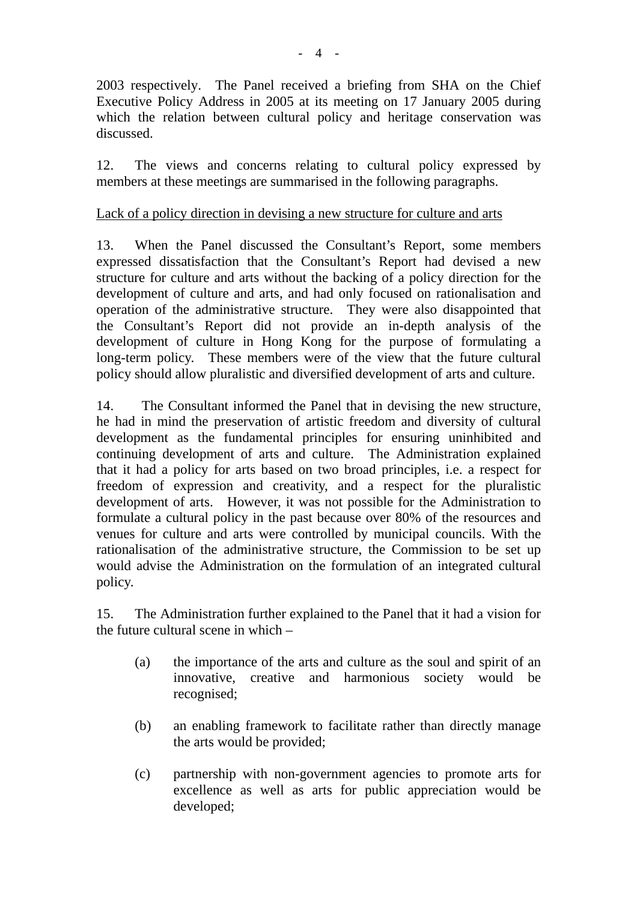2003 respectively. The Panel received a briefing from SHA on the Chief Executive Policy Address in 2005 at its meeting on 17 January 2005 during which the relation between cultural policy and heritage conservation was discussed.

12. The views and concerns relating to cultural policy expressed by members at these meetings are summarised in the following paragraphs.

## Lack of a policy direction in devising a new structure for culture and arts

13. When the Panel discussed the Consultant's Report, some members expressed dissatisfaction that the Consultant's Report had devised a new structure for culture and arts without the backing of a policy direction for the development of culture and arts, and had only focused on rationalisation and operation of the administrative structure. They were also disappointed that the Consultant's Report did not provide an in-depth analysis of the development of culture in Hong Kong for the purpose of formulating a long-term policy. These members were of the view that the future cultural policy should allow pluralistic and diversified development of arts and culture.

14. The Consultant informed the Panel that in devising the new structure, he had in mind the preservation of artistic freedom and diversity of cultural development as the fundamental principles for ensuring uninhibited and continuing development of arts and culture. The Administration explained that it had a policy for arts based on two broad principles, i.e. a respect for freedom of expression and creativity, and a respect for the pluralistic development of arts. However, it was not possible for the Administration to formulate a cultural policy in the past because over 80% of the resources and venues for culture and arts were controlled by municipal councils. With the rationalisation of the administrative structure, the Commission to be set up would advise the Administration on the formulation of an integrated cultural policy.

15. The Administration further explained to the Panel that it had a vision for the future cultural scene in which –

- (a) the importance of the arts and culture as the soul and spirit of an innovative, creative and harmonious society would be recognised;
- (b) an enabling framework to facilitate rather than directly manage the arts would be provided;
- (c) partnership with non-government agencies to promote arts for excellence as well as arts for public appreciation would be developed;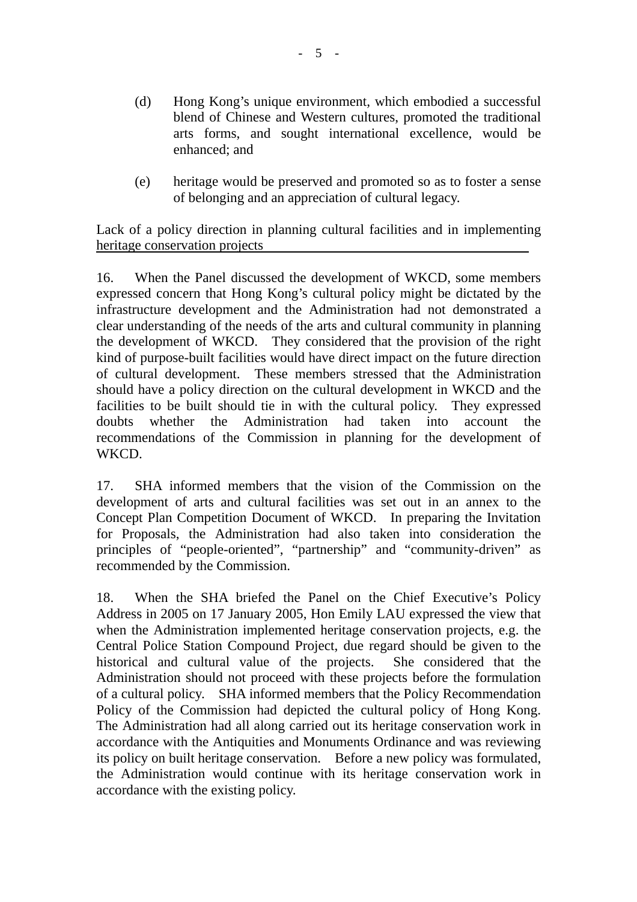- (d) Hong Kong's unique environment, which embodied a successful blend of Chinese and Western cultures, promoted the traditional arts forms, and sought international excellence, would be enhanced; and
- (e) heritage would be preserved and promoted so as to foster a sense of belonging and an appreciation of cultural legacy.

Lack of a policy direction in planning cultural facilities and in implementing heritage conservation projects

16. When the Panel discussed the development of WKCD, some members expressed concern that Hong Kong's cultural policy might be dictated by the infrastructure development and the Administration had not demonstrated a clear understanding of the needs of the arts and cultural community in planning the development of WKCD. They considered that the provision of the right kind of purpose-built facilities would have direct impact on the future direction of cultural development. These members stressed that the Administration should have a policy direction on the cultural development in WKCD and the facilities to be built should tie in with the cultural policy. They expressed doubts whether the Administration had taken into account the recommendations of the Commission in planning for the development of WKCD.

17. SHA informed members that the vision of the Commission on the development of arts and cultural facilities was set out in an annex to the Concept Plan Competition Document of WKCD. In preparing the Invitation for Proposals, the Administration had also taken into consideration the principles of "people-oriented", "partnership" and "community-driven" as recommended by the Commission.

18. When the SHA briefed the Panel on the Chief Executive's Policy Address in 2005 on 17 January 2005, Hon Emily LAU expressed the view that when the Administration implemented heritage conservation projects, e.g. the Central Police Station Compound Project, due regard should be given to the historical and cultural value of the projects. She considered that the Administration should not proceed with these projects before the formulation of a cultural policy. SHA informed members that the Policy Recommendation Policy of the Commission had depicted the cultural policy of Hong Kong. The Administration had all along carried out its heritage conservation work in accordance with the Antiquities and Monuments Ordinance and was reviewing its policy on built heritage conservation. Before a new policy was formulated, the Administration would continue with its heritage conservation work in accordance with the existing policy.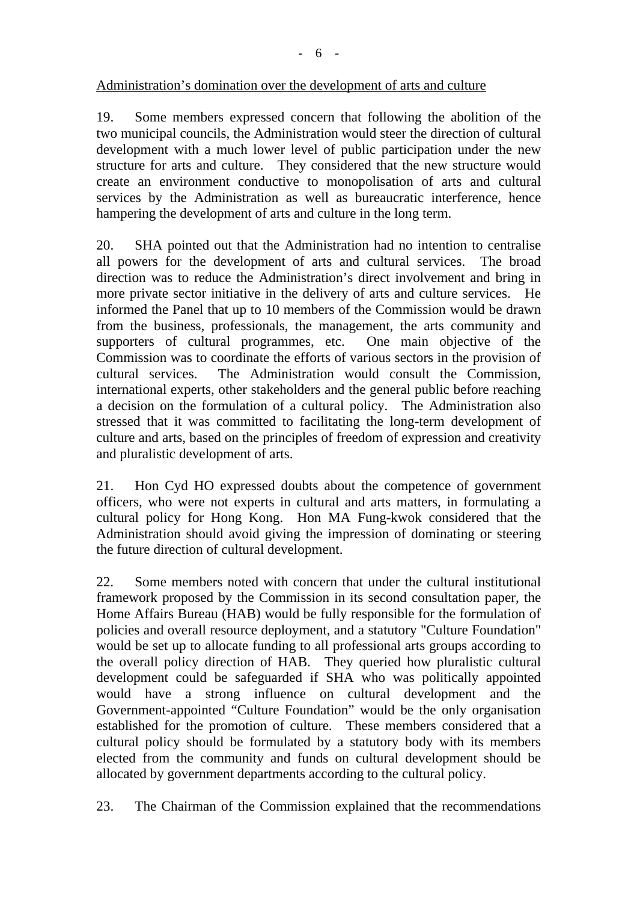## Administration's domination over the development of arts and culture

19. Some members expressed concern that following the abolition of the two municipal councils, the Administration would steer the direction of cultural development with a much lower level of public participation under the new structure for arts and culture. They considered that the new structure would create an environment conductive to monopolisation of arts and cultural services by the Administration as well as bureaucratic interference, hence hampering the development of arts and culture in the long term.

20. SHA pointed out that the Administration had no intention to centralise all powers for the development of arts and cultural services. The broad direction was to reduce the Administration's direct involvement and bring in more private sector initiative in the delivery of arts and culture services. He informed the Panel that up to 10 members of the Commission would be drawn from the business, professionals, the management, the arts community and supporters of cultural programmes, etc. One main objective of the Commission was to coordinate the efforts of various sectors in the provision of cultural services. The Administration would consult the Commission, international experts, other stakeholders and the general public before reaching a decision on the formulation of a cultural policy. The Administration also stressed that it was committed to facilitating the long-term development of culture and arts, based on the principles of freedom of expression and creativity and pluralistic development of arts.

21. Hon Cyd HO expressed doubts about the competence of government officers, who were not experts in cultural and arts matters, in formulating a cultural policy for Hong Kong. Hon MA Fung-kwok considered that the Administration should avoid giving the impression of dominating or steering the future direction of cultural development.

22. Some members noted with concern that under the cultural institutional framework proposed by the Commission in its second consultation paper, the Home Affairs Bureau (HAB) would be fully responsible for the formulation of policies and overall resource deployment, and a statutory "Culture Foundation" would be set up to allocate funding to all professional arts groups according to the overall policy direction of HAB. They queried how pluralistic cultural development could be safeguarded if SHA who was politically appointed would have a strong influence on cultural development and the Government-appointed "Culture Foundation" would be the only organisation established for the promotion of culture. These members considered that a cultural policy should be formulated by a statutory body with its members elected from the community and funds on cultural development should be allocated by government departments according to the cultural policy.

23. The Chairman of the Commission explained that the recommendations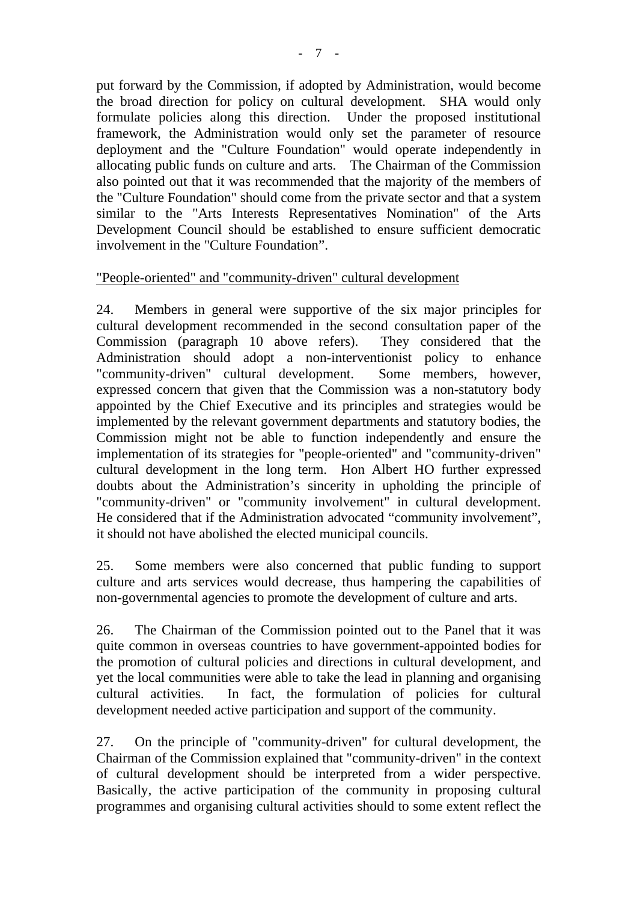put forward by the Commission, if adopted by Administration, would become the broad direction for policy on cultural development. SHA would only formulate policies along this direction. Under the proposed institutional framework, the Administration would only set the parameter of resource deployment and the "Culture Foundation" would operate independently in allocating public funds on culture and arts. The Chairman of the Commission also pointed out that it was recommended that the majority of the members of the "Culture Foundation" should come from the private sector and that a system similar to the "Arts Interests Representatives Nomination" of the Arts Development Council should be established to ensure sufficient democratic involvement in the "Culture Foundation".

### "People-oriented" and "community-driven" cultural development

24. Members in general were supportive of the six major principles for cultural development recommended in the second consultation paper of the Commission (paragraph 10 above refers). They considered that the Administration should adopt a non-interventionist policy to enhance "community-driven" cultural development. Some members, however, expressed concern that given that the Commission was a non-statutory body appointed by the Chief Executive and its principles and strategies would be implemented by the relevant government departments and statutory bodies, the Commission might not be able to function independently and ensure the implementation of its strategies for "people-oriented" and "community-driven" cultural development in the long term. Hon Albert HO further expressed doubts about the Administration's sincerity in upholding the principle of "community-driven" or "community involvement" in cultural development. He considered that if the Administration advocated "community involvement", it should not have abolished the elected municipal councils.

25. Some members were also concerned that public funding to support culture and arts services would decrease, thus hampering the capabilities of non-governmental agencies to promote the development of culture and arts.

26. The Chairman of the Commission pointed out to the Panel that it was quite common in overseas countries to have government-appointed bodies for the promotion of cultural policies and directions in cultural development, and yet the local communities were able to take the lead in planning and organising cultural activities. In fact, the formulation of policies for cultural development needed active participation and support of the community.

27. On the principle of "community-driven" for cultural development, the Chairman of the Commission explained that "community-driven" in the context of cultural development should be interpreted from a wider perspective. Basically, the active participation of the community in proposing cultural programmes and organising cultural activities should to some extent reflect the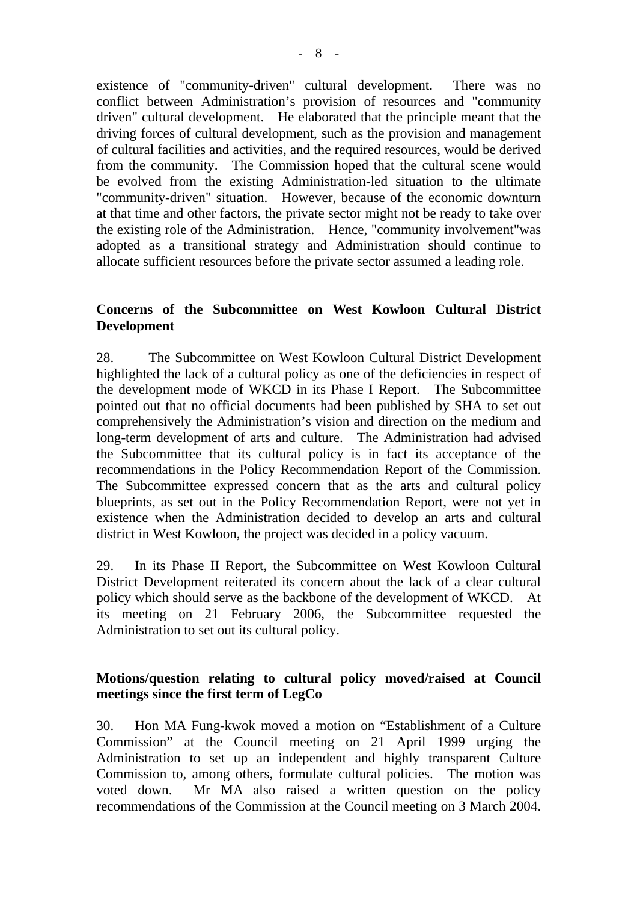existence of "community-driven" cultural development. There was no conflict between Administration's provision of resources and "community driven" cultural development. He elaborated that the principle meant that the driving forces of cultural development, such as the provision and management of cultural facilities and activities, and the required resources, would be derived from the community. The Commission hoped that the cultural scene would be evolved from the existing Administration-led situation to the ultimate "community-driven" situation. However, because of the economic downturn at that time and other factors, the private sector might not be ready to take over the existing role of the Administration. Hence, "community involvement"was adopted as a transitional strategy and Administration should continue to allocate sufficient resources before the private sector assumed a leading role.

### **Concerns of the Subcommittee on West Kowloon Cultural District Development**

28. The Subcommittee on West Kowloon Cultural District Development highlighted the lack of a cultural policy as one of the deficiencies in respect of the development mode of WKCD in its Phase I Report. The Subcommittee pointed out that no official documents had been published by SHA to set out comprehensively the Administration's vision and direction on the medium and long-term development of arts and culture. The Administration had advised the Subcommittee that its cultural policy is in fact its acceptance of the recommendations in the Policy Recommendation Report of the Commission. The Subcommittee expressed concern that as the arts and cultural policy blueprints, as set out in the Policy Recommendation Report, were not yet in existence when the Administration decided to develop an arts and cultural district in West Kowloon, the project was decided in a policy vacuum.

29. In its Phase II Report, the Subcommittee on West Kowloon Cultural District Development reiterated its concern about the lack of a clear cultural policy which should serve as the backbone of the development of WKCD. At its meeting on 21 February 2006, the Subcommittee requested the Administration to set out its cultural policy.

## **Motions/question relating to cultural policy moved/raised at Council meetings since the first term of LegCo**

30. Hon MA Fung-kwok moved a motion on "Establishment of a Culture Commission" at the Council meeting on 21 April 1999 urging the Administration to set up an independent and highly transparent Culture Commission to, among others, formulate cultural policies. The motion was voted down. Mr MA also raised a written question on the policy recommendations of the Commission at the Council meeting on 3 March 2004.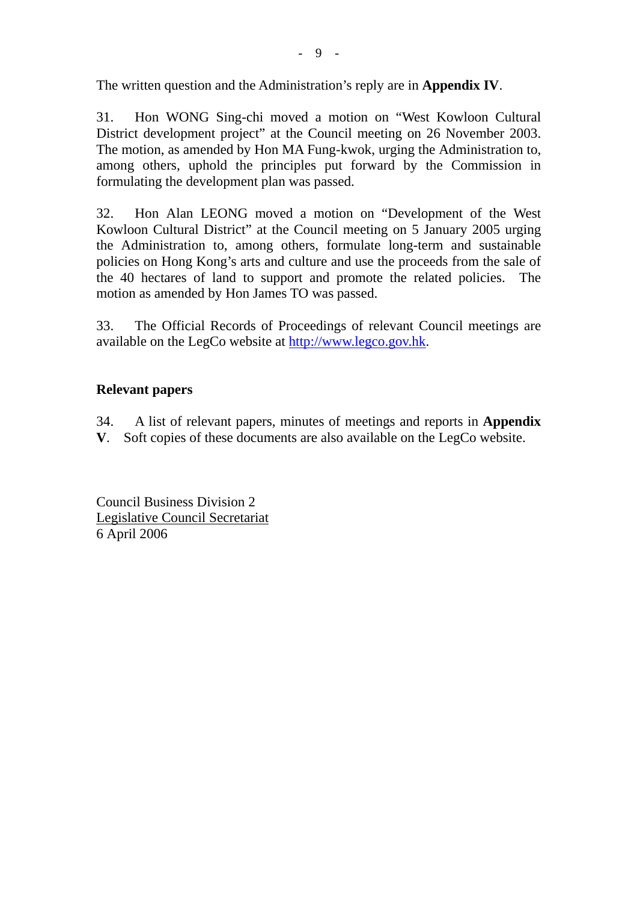The written question and the Administration's reply are in **Appendix IV**.

31. Hon WONG Sing-chi moved a motion on "West Kowloon Cultural District development project" at the Council meeting on 26 November 2003. The motion, as amended by Hon MA Fung-kwok, urging the Administration to, among others, uphold the principles put forward by the Commission in formulating the development plan was passed.

32. Hon Alan LEONG moved a motion on "Development of the West Kowloon Cultural District" at the Council meeting on 5 January 2005 urging the Administration to, among others, formulate long-term and sustainable policies on Hong Kong's arts and culture and use the proceeds from the sale of the 40 hectares of land to support and promote the related policies. The motion as amended by Hon James TO was passed.

33. The Official Records of Proceedings of relevant Council meetings are available on the LegCo website at http://www.legco.gov.hk.

## **Relevant papers**

34. A list of relevant papers, minutes of meetings and reports in **Appendix V**. Soft copies of these documents are also available on the LegCo website.

Council Business Division 2 Legislative Council Secretariat 6 April 2006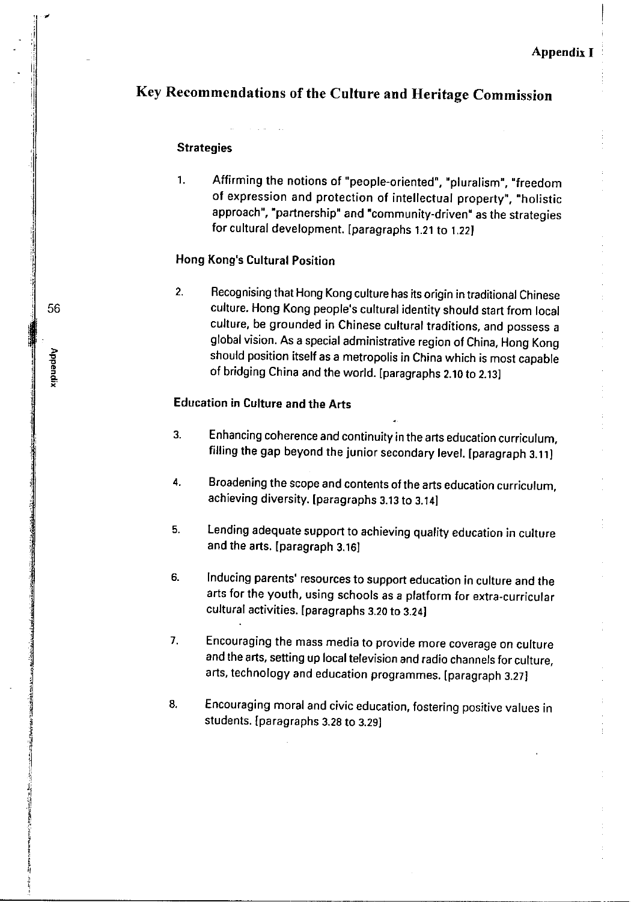# Key Recommendations of the Culture and Heritage Commission

#### **Strategies**

 $\mathbf{1}$ . Affirming the notions of "people-oriented", "pluralism", "freedom of expression and protection of intellectual property", "holistic approach", "partnership" and "community-driven" as the strategies for cultural development. [paragraphs 1.21 to 1.22]

#### **Hong Kong's Cultural Position**

Recognising that Hong Kong culture has its origin in traditional Chinese  $2.$ culture. Hong Kong people's cultural identity should start from local culture, be grounded in Chinese cultural traditions, and possess a global vision. As a special administrative region of China, Hong Kong should position itself as a metropolis in China which is most capable of bridging China and the world. [paragraphs 2.10 to 2.13]

#### **Education in Culture and the Arts**

- $3.$ Enhancing coherence and continuity in the arts education curriculum, filling the gap beyond the junior secondary level. [paragraph 3.11]
- 4. Broadening the scope and contents of the arts education curriculum, achieving diversity. [paragraphs 3.13 to 3.14]
- Lending adequate support to achieving quality education in culture  $5.$ and the arts. [paragraph 3.16]
- Inducing parents' resources to support education in culture and the 6. arts for the youth, using schools as a platform for extra-curricular cultural activities. [paragraphs 3.20 to 3.24]
- $\overline{7}$ . Encouraging the mass media to provide more coverage on culture and the arts, setting up local television and radio channels for culture, arts, technology and education programmes. [paragraph 3.27]
- Encouraging moral and civic education, fostering positive values in 8. students. [paragraphs 3.28 to 3.29]

56

Appendix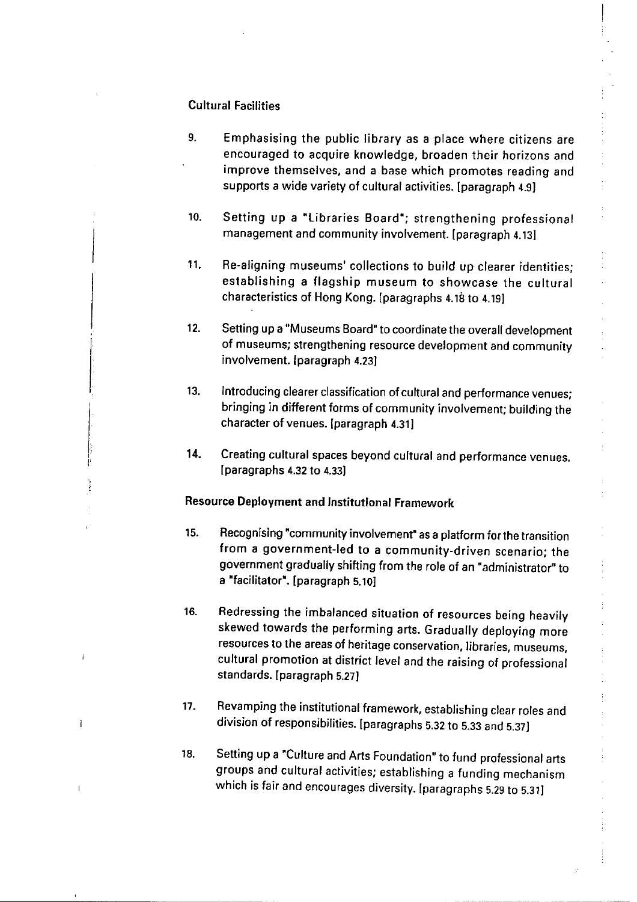#### **Cultural Facilities**

 $\overline{1}$ 

- 9. Emphasising the public library as a place where citizens are encouraged to acquire knowledge, broaden their horizons and improve themselves, and a base which promotes reading and supports a wide variety of cultural activities. [paragraph 4.9]
- $10.$ Setting up a "Libraries Board"; strengthening professional management and community involvement. [paragraph 4.13]
- Re-aligning museums' collections to build up clearer identities; 11. establishing a flagship museum to showcase the cultural characteristics of Hong Kong. [paragraphs 4.18 to 4.19]
- Setting up a "Museums Board" to coordinate the overall development  $12.$ of museums; strengthening resource development and community involvement. [paragraph 4.23]
- Introducing clearer classification of cultural and performance venues;  $13.$ bringing in different forms of community involvement; building the character of venues. [paragraph 4.31]
- $14.$ Creating cultural spaces beyond cultural and performance venues. [paragraphs 4.32 to 4.33]

#### Resource Deployment and Institutional Framework

- Recognising "community involvement" as a platform for the transition 15. from a government-led to a community-driven scenario; the government gradually shifting from the role of an "administrator" to a "facilitator". [paragraph 5.10]
- Redressing the imbalanced situation of resources being heavily 16. skewed towards the performing arts. Gradually deploying more resources to the areas of heritage conservation, libraries, museums, cultural promotion at district level and the raising of professional standards. [paragraph 5.27]
- Revamping the institutional framework, establishing clear roles and  $17.$ division of responsibilities. [paragraphs 5.32 to 5.33 and 5.37]
- Setting up a "Culture and Arts Foundation" to fund professional arts 18. groups and cultural activities; establishing a funding mechanism which is fair and encourages diversity. [paragraphs 5.29 to 5.31]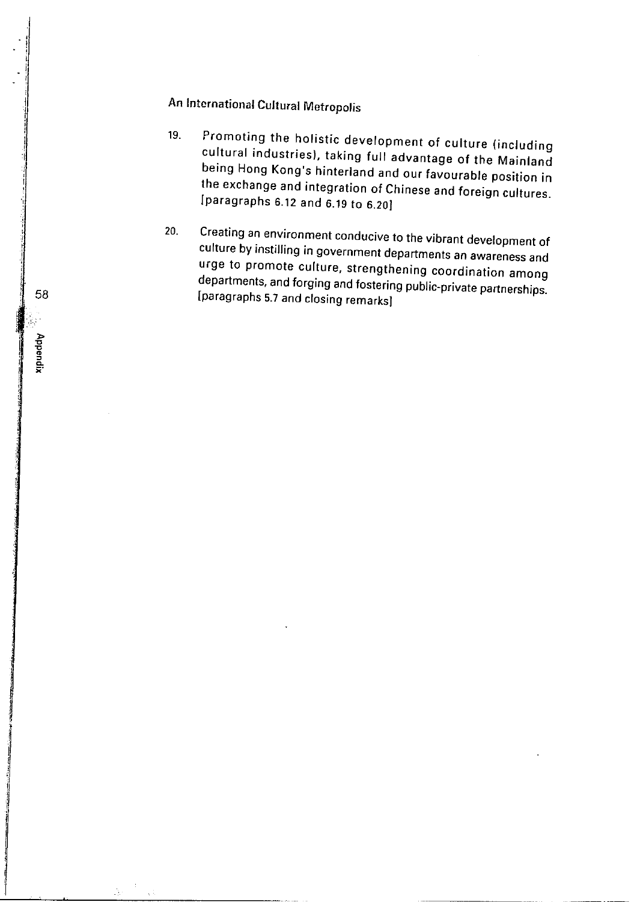# An International Cultural Metropolis

- Promoting the holistic development of culture (including 19. cultural industries), taking full advantage of the Mainland being Hong Kong's hinterland and our favourable position in the exchange and integration of Chinese and foreign cultures. [paragraphs 6.12 and 6.19 to 6.20]
- Creating an environment conducive to the vibrant development of  $20.$ culture by instilling in government departments an awareness and urge to promote culture, strengthening coordination among departments, and forging and fostering public-private partnerships. [paragraphs 5.7 and closing remarks]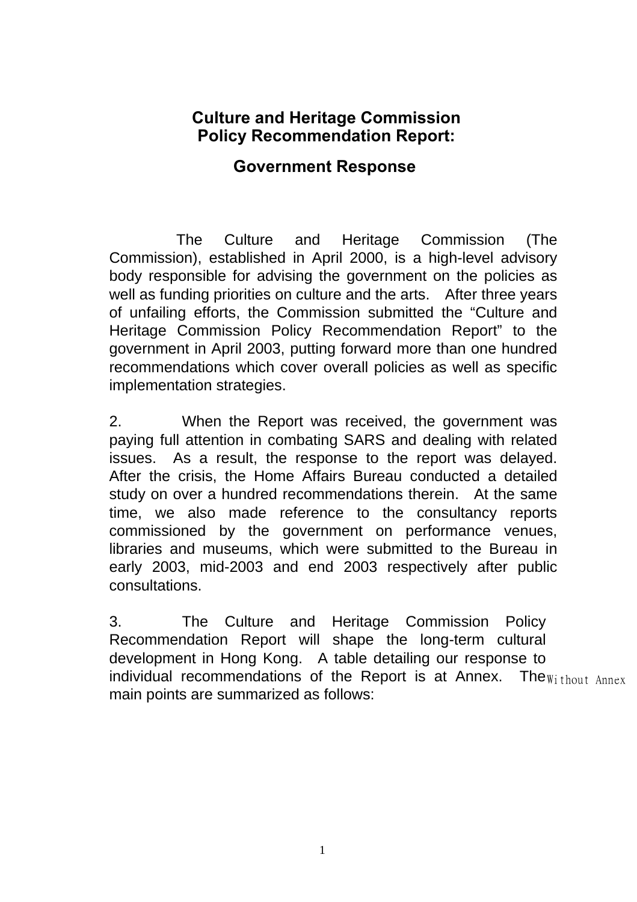#### **Culture and Heritage Commission Policy Recommendation Report:**

#### **Government Response**

The Culture and Heritage Commission (The Commission), established in April 2000, is a high-level advisory body responsible for advising the government on the policies as well as funding priorities on culture and the arts. After three years of unfailing efforts, the Commission submitted the "Culture and Heritage Commission Policy Recommendation Report" to the government in April 2003, putting forward more than one hundred recommendations which cover overall policies as well as specific implementation strategies.

2. When the Report was received, the government was paying full attention in combating SARS and dealing with related issues. As a result, the response to the report was delayed. After the crisis, the Home Affairs Bureau conducted a detailed study on over a hundred recommendations therein. At the same time, we also made reference to the consultancy reports commissioned by the government on performance venues, libraries and museums, which were submitted to the Bureau in early 2003, mid-2003 and end 2003 respectively after public consultations.

3. The Culture and Heritage Commission Policy Recommendation Report will shape the long-term cultural development in Hong Kong. A table detailing our response to individual recommendations of the Report is at Annex. The  $w_{i\text{ thout Annex}}$ main points are summarized as follows: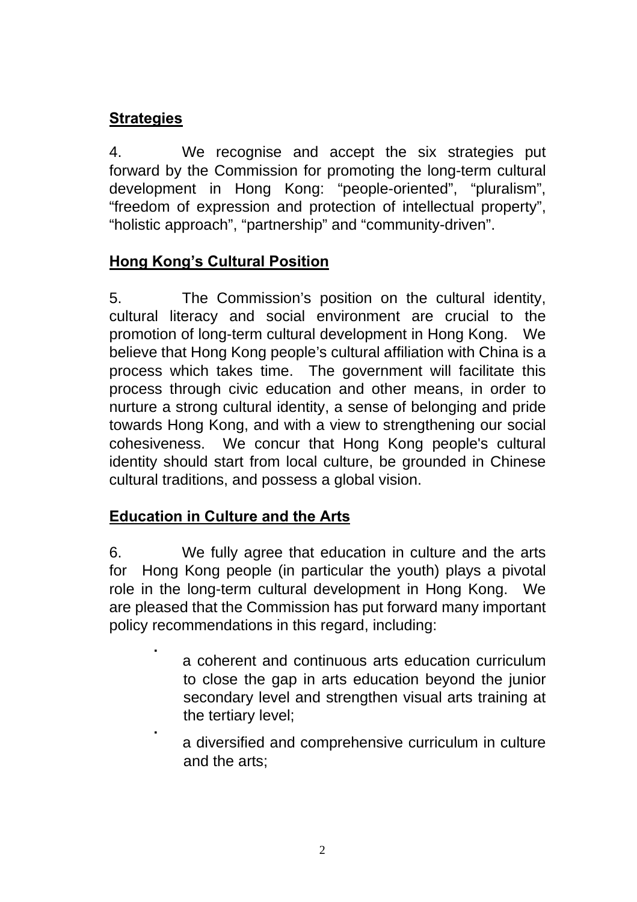#### **Strategies**

4.We recognise and accept the six strategies put forward by the Commission for promoting the long-term cultural development in Hong Kong: "people-oriented", "pluralism", "freedom of expression and protection of intellectual property", "holistic approach", "partnership" and "community-driven".

#### **Hong Kong's Cultural Position**

5. The Commission's position on the cultural identity, cultural literacy and social environment are crucial to the promotion of long-term cultural development in Hong Kong. We believe that Hong Kong people's cultural affiliation with China is a process which takes time. The government will facilitate this process through civic education and other means, in order to nurture a strong cultural identity, a sense of belonging and pride towards Hong Kong, and with a view to strengthening our social cohesiveness. We concur that Hong Kong people's cultural identity should start from local culture, be grounded in Chinese cultural traditions, and possess a global vision.

#### **Education in Culture and the Arts**

6. We fully agree that education in culture and the arts for Hong Kong people (in particular the youth) plays a pivotal role in the long-term cultural development in Hong Kong. We are pleased that the Commission has put forward many important policy recommendations in this regard, including:

- ˙ a coherent and continuous arts education curriculum to close the gap in arts education beyond the junior secondary level and strengthen visual arts training at the tertiary level;
- ˙ a diversified and comprehensive curriculum in culture and the arts;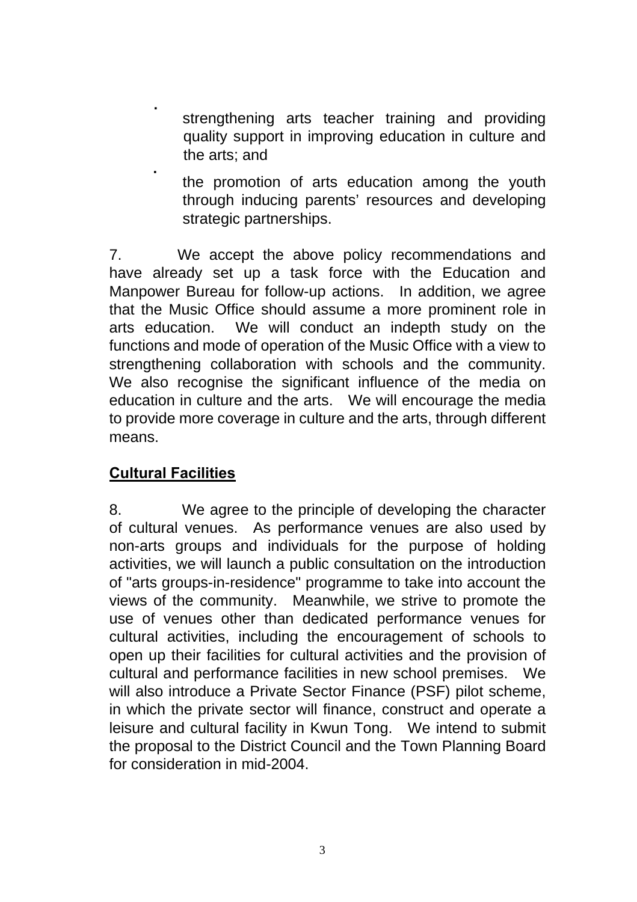- strengthening arts teacher training and providing quality support in improving education in culture and the arts; and
- ˙ the promotion of arts education among the youth through inducing parents' resources and developing strategic partnerships.

7. We accept the above policy recommendations and have already set up a task force with the Education and Manpower Bureau for follow-up actions. In addition, we agree that the Music Office should assume a more prominent role in arts education. We will conduct an indepth study on the functions and mode of operation of the Music Office with a view to strengthening collaboration with schools and the community. We also recognise the significant influence of the media on education in culture and the arts. We will encourage the media to provide more coverage in culture and the arts, through different means.

#### **Cultural Facilities**

8. We agree to the principle of developing the character of cultural venues. As performance venues are also used by non-arts groups and individuals for the purpose of holding activities, we will launch a public consultation on the introduction of "arts groups-in-residence" programme to take into account the views of the community. Meanwhile, we strive to promote the use of venues other than dedicated performance venues for cultural activities, including the encouragement of schools to open up their facilities for cultural activities and the provision of cultural and performance facilities in new school premises. We will also introduce a Private Sector Finance (PSF) pilot scheme, in which the private sector will finance, construct and operate a leisure and cultural facility in Kwun Tong. We intend to submit the proposal to the District Council and the Town Planning Board for consideration in mid-2004.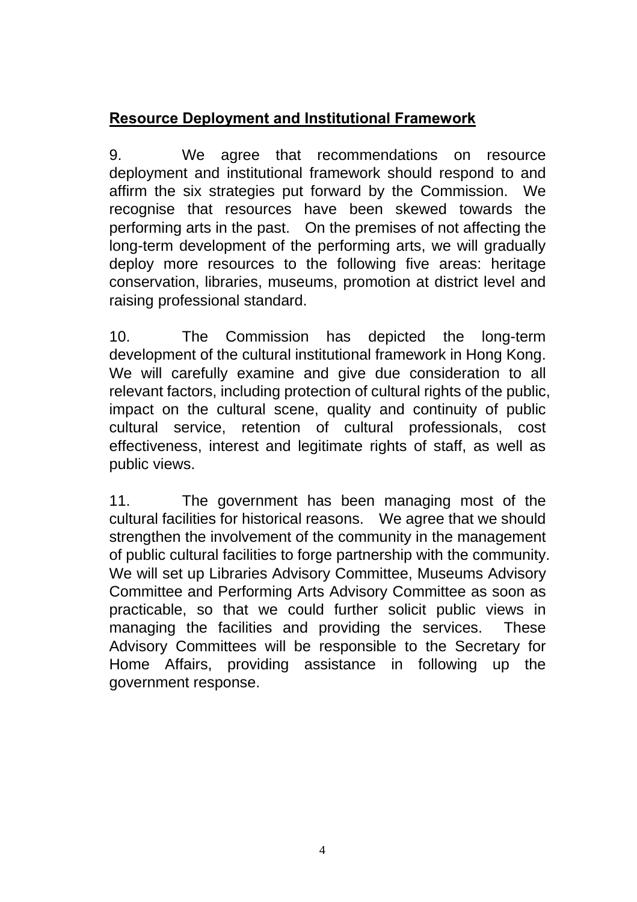#### **Resource Deployment and Institutional Framework**

9. We agree that recommendations on resource deployment and institutional framework should respond to and affirm the six strategies put forward by the Commission. We recognise that resources have been skewed towards the performing arts in the past. On the premises of not affecting the long-term development of the performing arts, we will gradually deploy more resources to the following five areas: heritage conservation, libraries, museums, promotion at district level and raising professional standard.

10. The Commission has depicted the long-term development of the cultural institutional framework in Hong Kong. We will carefully examine and give due consideration to all relevant factors, including protection of cultural rights of the public, impact on the cultural scene, quality and continuity of public cultural service, retention of cultural professionals, cost effectiveness, interest and legitimate rights of staff, as well as public views.

11. The government has been managing most of the cultural facilities for historical reasons. We agree that we should strengthen the involvement of the community in the management of public cultural facilities to forge partnership with the community. We will set up Libraries Advisory Committee, Museums Advisory Committee and Performing Arts Advisory Committee as soon as practicable, so that we could further solicit public views in managing the facilities and providing the services. These Advisory Committees will be responsible to the Secretary for Home Affairs, providing assistance in following up the government response.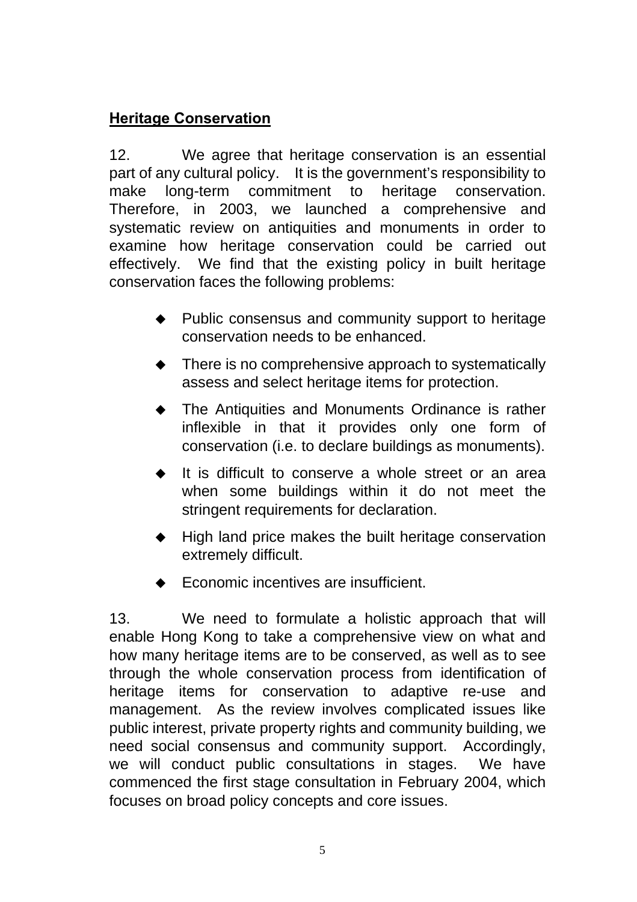#### **Heritage Conservation**

12. We agree that heritage conservation is an essential part of any cultural policy. It is the government's responsibility to make long-term commitment to heritage conservation. Therefore, in 2003, we launched a comprehensive and systematic review on antiquities and monuments in order to examine how heritage conservation could be carried out effectively. We find that the existing policy in built heritage conservation faces the following problems:

- Public consensus and community support to heritage conservation needs to be enhanced.
- ◆ There is no comprehensive approach to systematically assess and select heritage items for protection.
- The Antiquities and Monuments Ordinance is rather inflexible in that it provides only one form of conservation (i.e. to declare buildings as monuments).
- It is difficult to conserve a whole street or an area when some buildings within it do not meet the stringent requirements for declaration.
- $\blacklozenge$  High land price makes the built heritage conservation extremely difficult.
- Economic incentives are insufficient.

13. We need to formulate a holistic approach that will enable Hong Kong to take a comprehensive view on what and how many heritage items are to be conserved, as well as to see through the whole conservation process from identification of heritage items for conservation to adaptive re-use and management. As the review involves complicated issues like public interest, private property rights and community building, we need social consensus and community support. Accordingly, we will conduct public consultations in stages. We have commenced the first stage consultation in February 2004, which focuses on broad policy concepts and core issues.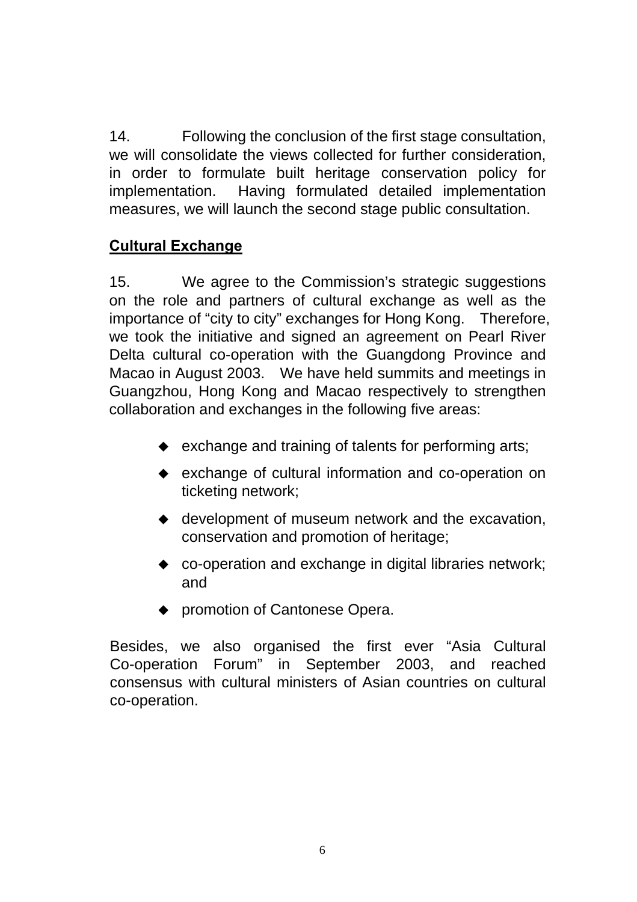14. Following the conclusion of the first stage consultation, we will consolidate the views collected for further consideration, in order to formulate built heritage conservation policy for implementation. Having formulated detailed implementation measures, we will launch the second stage public consultation.

#### **Cultural Exchange**

15. We agree to the Commission's strategic suggestions on the role and partners of cultural exchange as well as the importance of "city to city" exchanges for Hong Kong. Therefore, we took the initiative and signed an agreement on Pearl River Delta cultural co-operation with the Guangdong Province and Macao in August 2003. We have held summits and meetings in Guangzhou, Hong Kong and Macao respectively to strengthen collaboration and exchanges in the following five areas:

- $\bullet$  exchange and training of talents for performing arts;
- exchange of cultural information and co-operation on ticketing network;
- ◆ development of museum network and the excavation. conservation and promotion of heritage;
- ◆ co-operation and exchange in digital libraries network; and
- ◆ promotion of Cantonese Opera.

Besides, we also organised the first ever "Asia Cultural Co-operation Forum" in September 2003, and reached consensus with cultural ministers of Asian countries on cultural co-operation.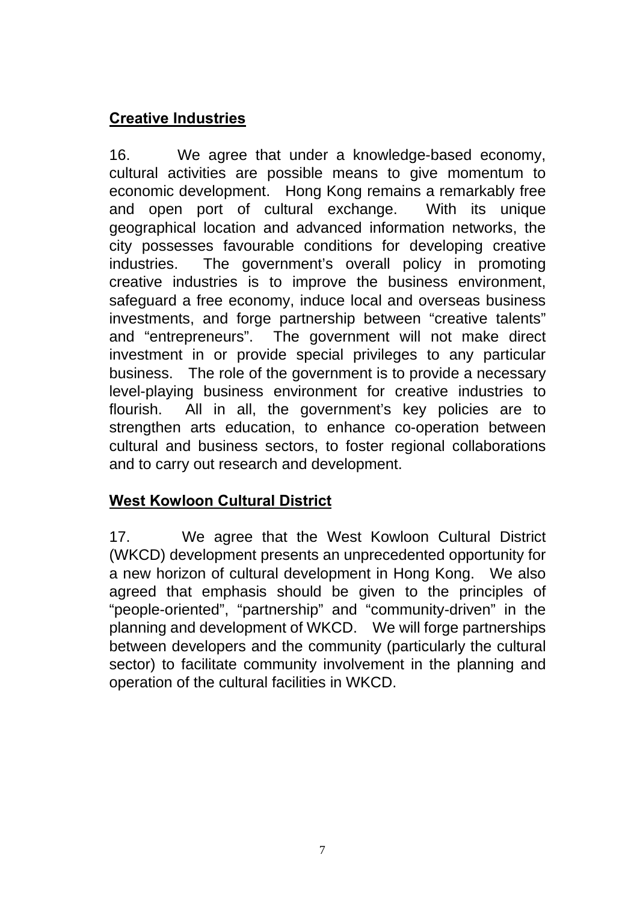#### **Creative Industries**

16. We agree that under a knowledge-based economy, cultural activities are possible means to give momentum to economic development. Hong Kong remains a remarkably free and open port of cultural exchange. With its unique geographical location and advanced information networks, the city possesses favourable conditions for developing creative industries. The government's overall policy in promoting creative industries is to improve the business environment, safeguard a free economy, induce local and overseas business investments, and forge partnership between "creative talents" and "entrepreneurs". The government will not make direct investment in or provide special privileges to any particular business. The role of the government is to provide a necessary level-playing business environment for creative industries to flourish. All in all, the government's key policies are to strengthen arts education, to enhance co-operation between cultural and business sectors, to foster regional collaborations and to carry out research and development.

#### **West Kowloon Cultural District**

17. We agree that the West Kowloon Cultural District (WKCD) development presents an unprecedented opportunity for a new horizon of cultural development in Hong Kong. We also agreed that emphasis should be given to the principles of "people-oriented", "partnership" and "community-driven" in the planning and development of WKCD. We will forge partnerships between developers and the community (particularly the cultural sector) to facilitate community involvement in the planning and operation of the cultural facilities in WKCD.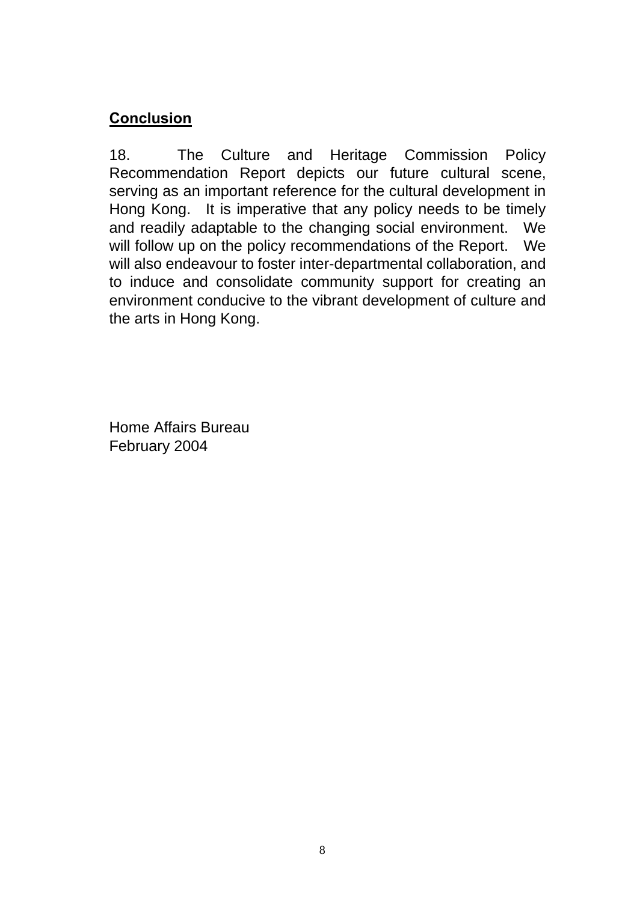#### **Conclusion**

18. The Culture and Heritage Commission Policy Recommendation Report depicts our future cultural scene, serving as an important reference for the cultural development in Hong Kong. It is imperative that any policy needs to be timely and readily adaptable to the changing social environment. We will follow up on the policy recommendations of the Report. We will also endeavour to foster inter-departmental collaboration, and to induce and consolidate community support for creating an environment conducive to the vibrant development of culture and the arts in Hong Kong.

Home Affairs Bureau February 2004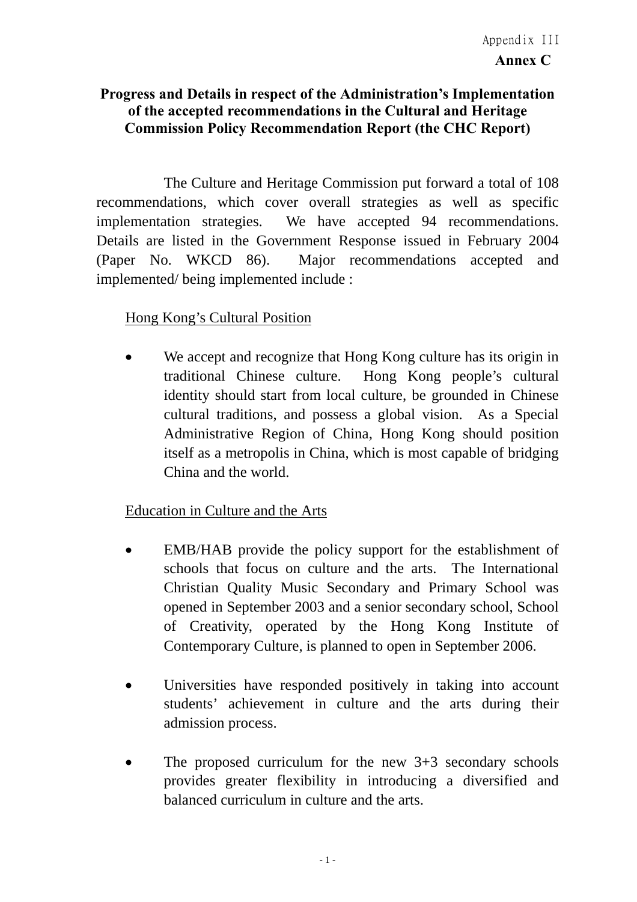## **Progress and Details in respect of the Administration's Implementation of the accepted recommendations in the Cultural and Heritage Commission Policy Recommendation Report (the CHC Report)**

 The Culture and Heritage Commission put forward a total of 108 recommendations, which cover overall strategies as well as specific implementation strategies. We have accepted 94 recommendations. Details are listed in the Government Response issued in February 2004 (Paper No. WKCD 86). Major recommendations accepted and implemented/ being implemented include :

## Hong Kong's Cultural Position

• We accept and recognize that Hong Kong culture has its origin in traditional Chinese culture. Hong Kong people's cultural identity should start from local culture, be grounded in Chinese cultural traditions, and possess a global vision. As a Special Administrative Region of China, Hong Kong should position itself as a metropolis in China, which is most capable of bridging China and the world.

## Education in Culture and the Arts

- EMB/HAB provide the policy support for the establishment of schools that focus on culture and the arts. The International Christian Quality Music Secondary and Primary School was opened in September 2003 and a senior secondary school, School of Creativity, operated by the Hong Kong Institute of Contemporary Culture, is planned to open in September 2006.
- Universities have responded positively in taking into account students' achievement in culture and the arts during their admission process.
- The proposed curriculum for the new  $3+3$  secondary schools provides greater flexibility in introducing a diversified and balanced curriculum in culture and the arts.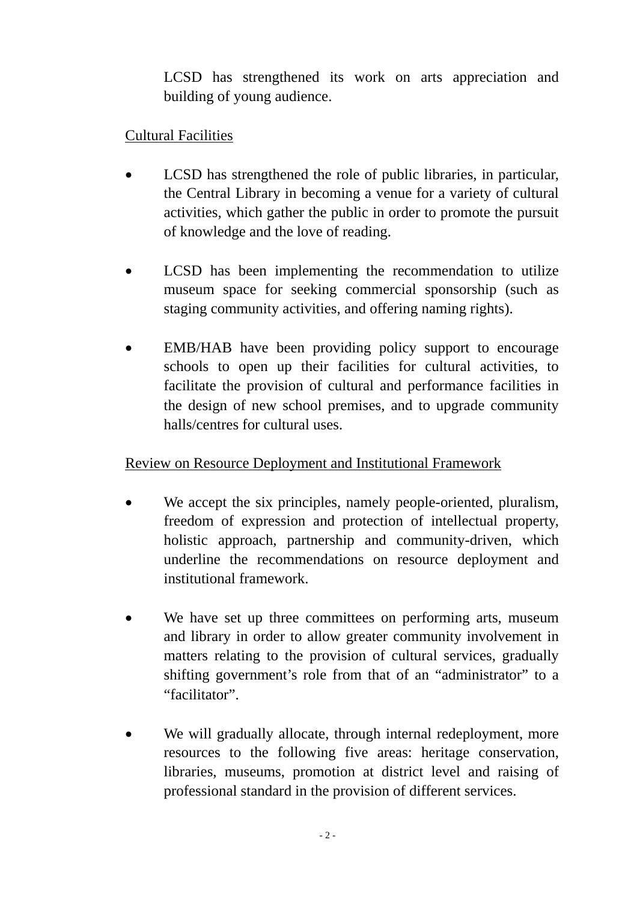LCSD has strengthened its work on arts appreciation and building of young audience.

## Cultural Facilities

- LCSD has strengthened the role of public libraries, in particular, the Central Library in becoming a venue for a variety of cultural activities, which gather the public in order to promote the pursuit of knowledge and the love of reading.
- LCSD has been implementing the recommendation to utilize museum space for seeking commercial sponsorship (such as staging community activities, and offering naming rights).
- EMB/HAB have been providing policy support to encourage schools to open up their facilities for cultural activities, to facilitate the provision of cultural and performance facilities in the design of new school premises, and to upgrade community halls/centres for cultural uses.

## Review on Resource Deployment and Institutional Framework

- We accept the six principles, namely people-oriented, pluralism, freedom of expression and protection of intellectual property, holistic approach, partnership and community-driven, which underline the recommendations on resource deployment and institutional framework.
- We have set up three committees on performing arts, museum and library in order to allow greater community involvement in matters relating to the provision of cultural services, gradually shifting government's role from that of an "administrator" to a "facilitator".
- We will gradually allocate, through internal redeployment, more resources to the following five areas: heritage conservation, libraries, museums, promotion at district level and raising of professional standard in the provision of different services.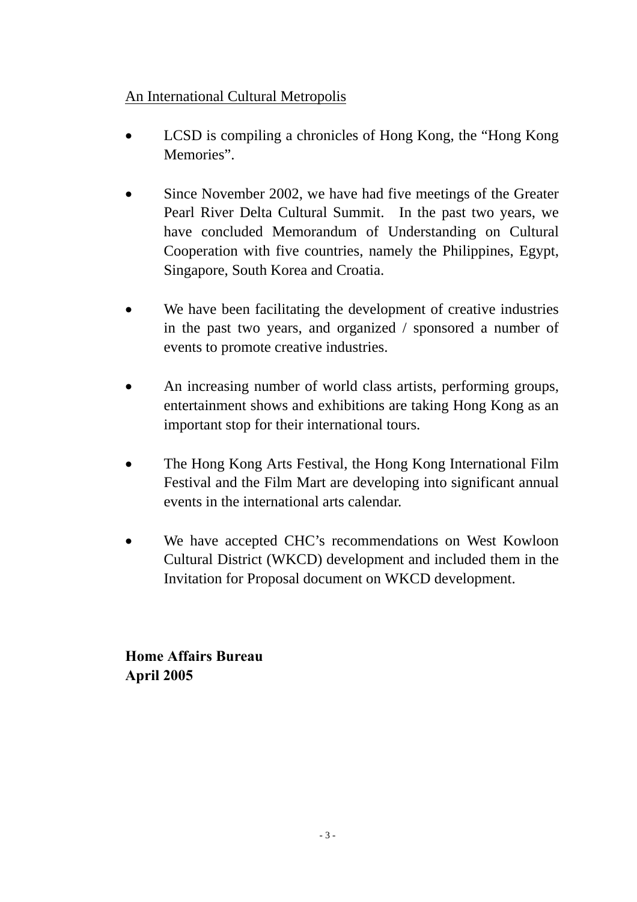## An International Cultural Metropolis

- LCSD is compiling a chronicles of Hong Kong, the "Hong Kong Memories".
- Since November 2002, we have had five meetings of the Greater Pearl River Delta Cultural Summit. In the past two years, we have concluded Memorandum of Understanding on Cultural Cooperation with five countries, namely the Philippines, Egypt, Singapore, South Korea and Croatia.
- We have been facilitating the development of creative industries in the past two years, and organized / sponsored a number of events to promote creative industries.
- An increasing number of world class artists, performing groups, entertainment shows and exhibitions are taking Hong Kong as an important stop for their international tours.
- The Hong Kong Arts Festival, the Hong Kong International Film Festival and the Film Mart are developing into significant annual events in the international arts calendar.
- We have accepted CHC's recommendations on West Kowloon Cultural District (WKCD) development and included them in the Invitation for Proposal document on WKCD development.

**Home Affairs Bureau April 2005**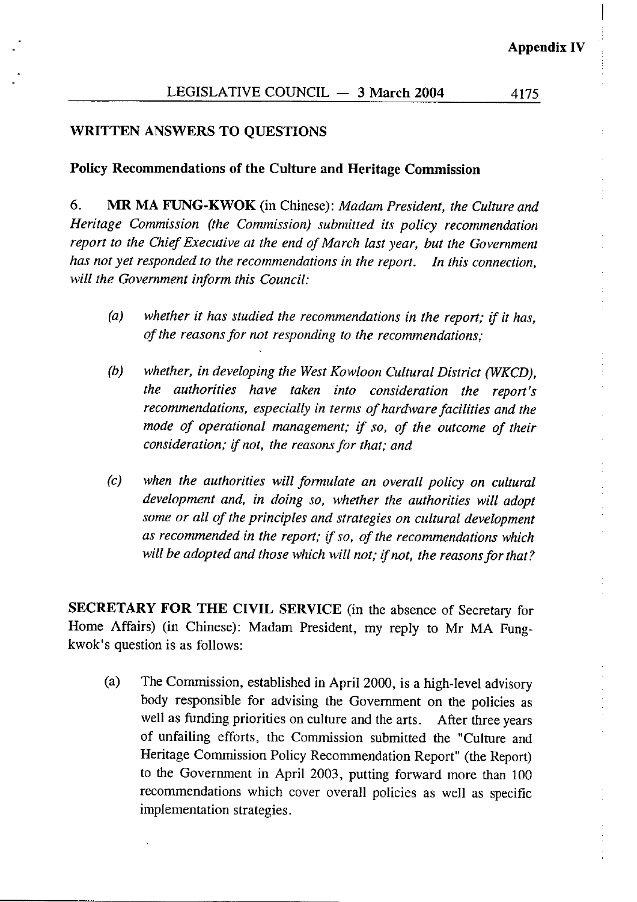4175

#### **WRITTEN ANSWERS TO QUESTIONS**

### Policy Recommendations of the Culture and Heritage Commission

MR MA FUNG-KWOK (in Chinese): Madam President, the Culture and 6. Heritage Commission (the Commission) submitted its policy recommendation report to the Chief Executive at the end of March last year, but the Government has not vet responded to the recommendations in the report. In this connection, will the Government inform this Council:

- $(a)$ whether it has studied the recommendations in the report: if it has. of the reasons for not responding to the recommendations;
- $(b)$ whether, in developing the West Kowloon Cultural District (WKCD), the authorities have taken into consideration the report's recommendations, especially in terms of hardware facilities and the mode of operational management; if so, of the outcome of their consideration; if not, the reasons for that; and
- $(c)$ when the authorities will formulate an overall policy on cultural development and, in doing so, whether the authorities will adopt some or all of the principles and strategies on cultural development as recommended in the report; if so, of the recommendations which will be adopted and those which will not; if not, the reasons for that?

SECRETARY FOR THE CIVIL SERVICE (in the absence of Secretary for Home Affairs) (in Chinese): Madam President, my reply to Mr MA Fungkwok's question is as follows:

The Commission, established in April 2000, is a high-level advisory  $(a)$ body responsible for advising the Government on the policies as well as funding priorities on culture and the arts. After three years of unfailing efforts, the Commission submitted the "Culture and Heritage Commission Policy Recommendation Report" (the Report) to the Government in April 2003, putting forward more than 100 recommendations which cover overall policies as well as specific implementation strategies.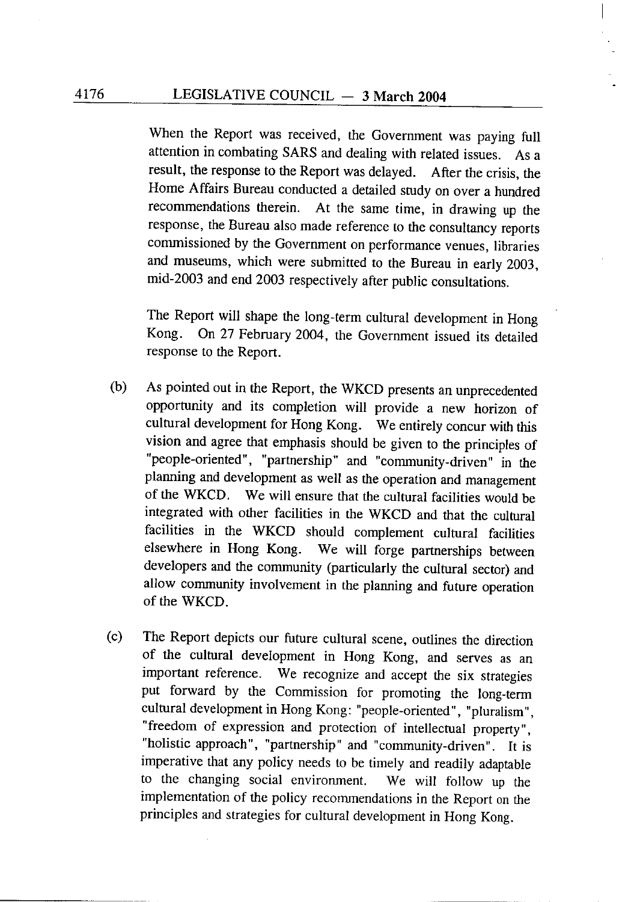When the Report was received, the Government was paying full attention in combating SARS and dealing with related issues. As a result, the response to the Report was delayed. After the crisis, the Home Affairs Bureau conducted a detailed study on over a hundred recommendations therein. At the same time, in drawing up the response, the Bureau also made reference to the consultancy reports commissioned by the Government on performance venues, libraries and museums, which were submitted to the Bureau in early 2003, mid-2003 and end 2003 respectively after public consultations.

The Report will shape the long-term cultural development in Hong On 27 February 2004, the Government issued its detailed Kong. response to the Report.

- As pointed out in the Report, the WKCD presents an unprecedented  $(b)$ opportunity and its completion will provide a new horizon of cultural development for Hong Kong. We entirely concur with this vision and agree that emphasis should be given to the principles of "people-oriented", "partnership" and "community-driven" in the planning and development as well as the operation and management of the WKCD. We will ensure that the cultural facilities would be integrated with other facilities in the WKCD and that the cultural facilities in the WKCD should complement cultural facilities elsewhere in Hong Kong. We will forge partnerships between developers and the community (particularly the cultural sector) and allow community involvement in the planning and future operation of the WKCD.
- The Report depicts our future cultural scene, outlines the direction  $(c)$ of the cultural development in Hong Kong, and serves as an important reference. We recognize and accept the six strategies put forward by the Commission for promoting the long-term cultural development in Hong Kong: "people-oriented", "pluralism", "freedom of expression and protection of intellectual property", "holistic approach", "partnership" and "community-driven". It is imperative that any policy needs to be timely and readily adaptable to the changing social environment. We will follow up the implementation of the policy recommendations in the Report on the principles and strategies for cultural development in Hong Kong.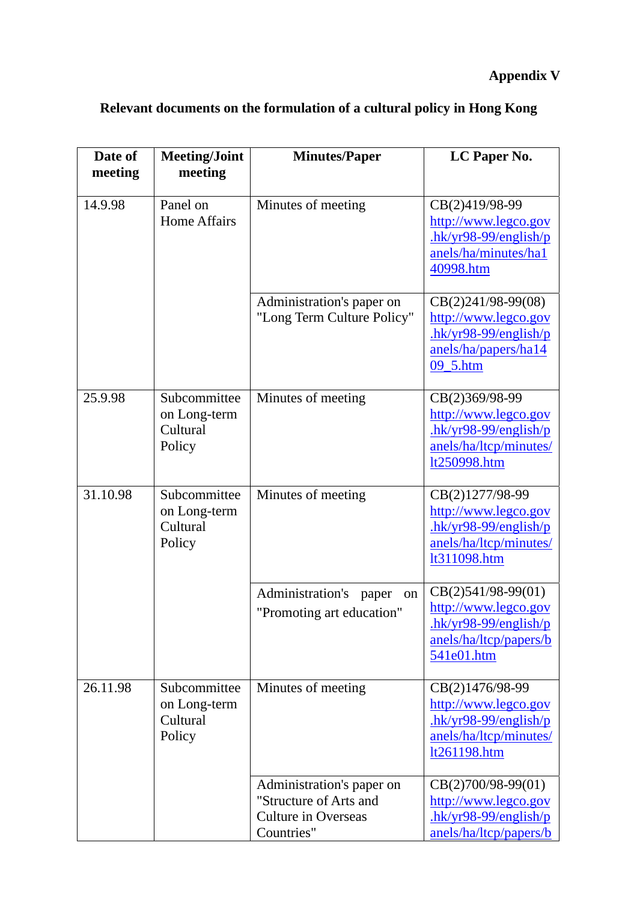## **Appendix V**

| Date of<br>meeting | <b>Meeting/Joint</b><br>meeting                    | <b>Minutes/Paper</b>                                                                            | LC Paper No.                                                                                                            |
|--------------------|----------------------------------------------------|-------------------------------------------------------------------------------------------------|-------------------------------------------------------------------------------------------------------------------------|
| 14.9.98            | Panel on<br><b>Home Affairs</b>                    | Minutes of meeting                                                                              | CB(2)419/98-99<br>http://www.legco.gov<br>$-hk/yr98-99/english/p$<br>anels/ha/minutes/ha1<br>40998.htm                  |
|                    |                                                    | Administration's paper on<br>"Long Term Culture Policy"                                         | $CB(2)241/98-99(08)$<br>http://www.legco.gov<br>$\frac{h k y r 98 - 99}{english/p}$<br>anels/ha/papers/ha14<br>09 5.htm |
| 25.9.98            | Subcommittee<br>on Long-term<br>Cultural<br>Policy | Minutes of meeting                                                                              | CB(2)369/98-99<br>http://www.legco.gov<br>$-hk/yr98-99/english/p$<br>anels/ha/ltcp/minutes/<br>lt250998.htm             |
| 31.10.98           | Subcommittee<br>on Long-term<br>Cultural<br>Policy | Minutes of meeting                                                                              | CB(2)1277/98-99<br>http://www.legco.gov<br>$hk/yr98-99/english/p$<br>anels/ha/ltcp/minutes/<br>lt311098.htm             |
|                    |                                                    | Administration's<br>paper<br>on<br>"Promoting art education"                                    | CB(2)541/98-99(01)<br>http://www.legco.gov<br>$hk/yr98-99/english/p$<br>anels/ha/ltcp/papers/b<br>541e01.htm            |
| 26.11.98           | Subcommittee<br>on Long-term<br>Cultural<br>Policy | Minutes of meeting                                                                              | CB(2)1476/98-99<br>http://www.legco.gov<br>$.$ hk/yr98-99/english/p<br>anels/ha/ltcp/minutes/<br>lt261198.htm           |
|                    |                                                    | Administration's paper on<br>"Structure of Arts and<br><b>Culture in Overseas</b><br>Countries" | $CB(2)700/98-99(01)$<br>http://www.legco.gov<br>$hk/yr98-99/english/p$<br>anels/ha/ltcp/papers/b                        |

# **Relevant documents on the formulation of a cultural policy in Hong Kong**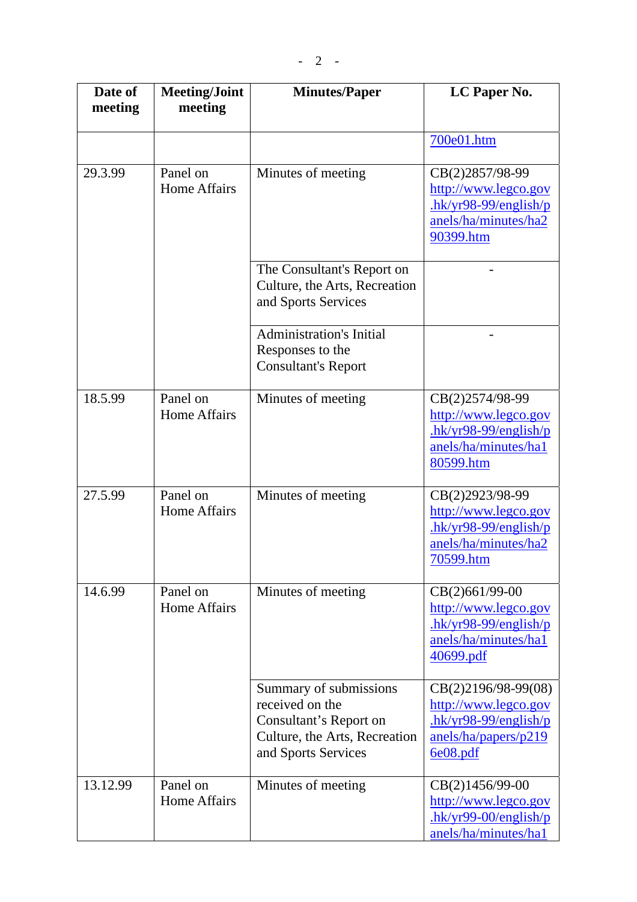| Date of<br>meeting | <b>Meeting/Joint</b><br>meeting | <b>Minutes/Paper</b>                                                                                                        | LC Paper No.                                                                                                  |
|--------------------|---------------------------------|-----------------------------------------------------------------------------------------------------------------------------|---------------------------------------------------------------------------------------------------------------|
|                    |                                 |                                                                                                                             | 700e01.htm                                                                                                    |
| 29.3.99            | Panel on<br><b>Home Affairs</b> | Minutes of meeting                                                                                                          | CB(2)2857/98-99<br>http://www.legco.gov<br>$hk/yr98-99/english/p$<br>anels/ha/minutes/ha2<br>90399.htm        |
|                    |                                 | The Consultant's Report on<br>Culture, the Arts, Recreation<br>and Sports Services                                          |                                                                                                               |
|                    |                                 | <b>Administration's Initial</b><br>Responses to the<br><b>Consultant's Report</b>                                           |                                                                                                               |
| 18.5.99            | Panel on<br>Home Affairs        | Minutes of meeting                                                                                                          | CB(2)2574/98-99<br>http://www.legco.gov<br>$hk/yr98-99/english/p$<br>anels/ha/minutes/ha1<br>80599.htm        |
| 27.5.99            | Panel on<br><b>Home Affairs</b> | Minutes of meeting                                                                                                          | CB(2)2923/98-99<br>http://www.legco.gov<br>$hk/yr98-99/english/p$<br>anels/ha/minutes/ha2<br><u>70599.htm</u> |
| 14.6.99            | Panel on<br>Home Affairs        | Minutes of meeting                                                                                                          | CB(2)661/99-00<br>http://www.legco.gov<br>$hk/yr98-99/english/p$<br>anels/ha/minutes/ha1<br>40699.pdf         |
|                    |                                 | Summary of submissions<br>received on the<br>Consultant's Report on<br>Culture, the Arts, Recreation<br>and Sports Services | CB(2)2196/98-99(08)<br>http://www.legco.gov<br>$hk/yr98-99/english/p$<br>anels/ha/papers/p219<br>6e08.pdf     |
| 13.12.99           | Panel on<br><b>Home Affairs</b> | Minutes of meeting                                                                                                          | CB(2)1456/99-00<br>http://www.legco.gov<br>$hk/yr99-00/english/p$<br>anels/ha/minutes/ha1                     |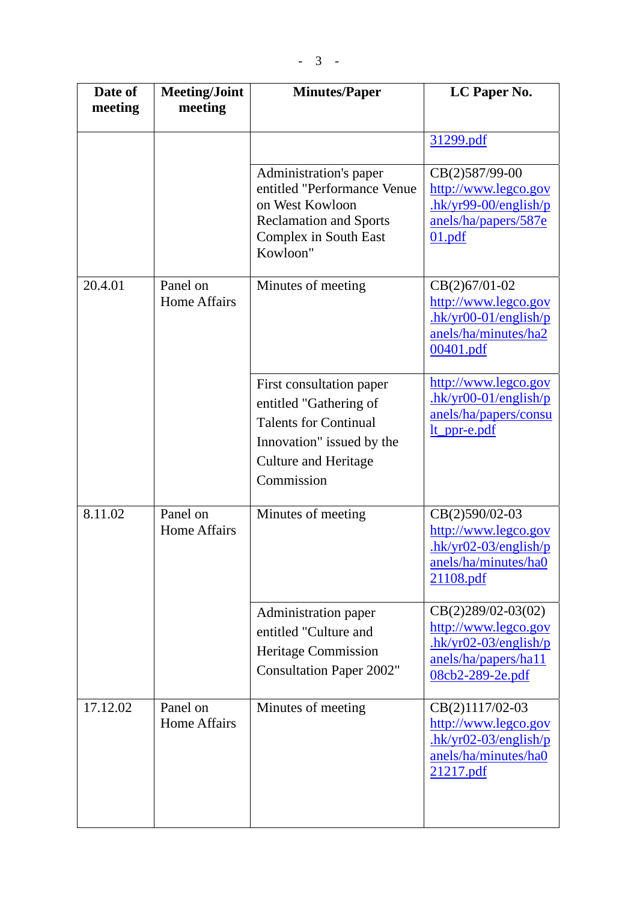| Date of<br>meeting | <b>Meeting/Joint</b><br>meeting | <b>Minutes/Paper</b>                                                                                                                                         | LC Paper No.                                                                                                        |
|--------------------|---------------------------------|--------------------------------------------------------------------------------------------------------------------------------------------------------------|---------------------------------------------------------------------------------------------------------------------|
|                    |                                 |                                                                                                                                                              | 31299.pdf                                                                                                           |
|                    |                                 |                                                                                                                                                              |                                                                                                                     |
|                    |                                 | Administration's paper<br>entitled "Performance Venue<br>on West Kowloon<br><b>Reclamation and Sports</b><br>Complex in South East<br>Kowloon"               | CB(2)587/99-00<br>http://www.legco.gov<br>$-hk/yr99-00/english/p$<br>anels/ha/papers/587e<br>01.pdf                 |
| 20.4.01            | Panel on<br><b>Home Affairs</b> | Minutes of meeting                                                                                                                                           | CB(2)67/01-02<br>http://www.legco.gov<br>$hk/yr00-01/english/p$<br>anels/ha/minutes/ha2<br>00401.pdf                |
|                    |                                 | First consultation paper<br>entitled "Gathering of<br><b>Talents for Continual</b><br>Innovation" issued by the<br><b>Culture and Heritage</b><br>Commission | http://www.legco.gov<br>$hk/yr00-01/english/p$<br>anels/ha/papers/consu<br>lt_ppr-e.pdf                             |
| 8.11.02            | Panel on<br><b>Home Affairs</b> | Minutes of meeting                                                                                                                                           | CB(2)590/02-03<br>http://www.legco.gov<br>$-hk/yr02-03/english/p$<br>anels/ha/minutes/ha0<br>21108.pdf              |
|                    |                                 | Administration paper<br>entitled "Culture and<br><b>Heritage Commission</b><br><b>Consultation Paper 2002"</b>                                               | $CB(2)289/02-03(02)$<br>http://www.legco.gov<br>$-hk/yr02-03/english/p$<br>anels/ha/papers/ha11<br>08cb2-289-2e.pdf |
| 17.12.02           | Panel on<br><b>Home Affairs</b> | Minutes of meeting                                                                                                                                           | CB(2)1117/02-03<br>http://www.legco.gov<br>$-hk/yr02-03/english/p$<br>anels/ha/minutes/ha0<br>21217.pdf             |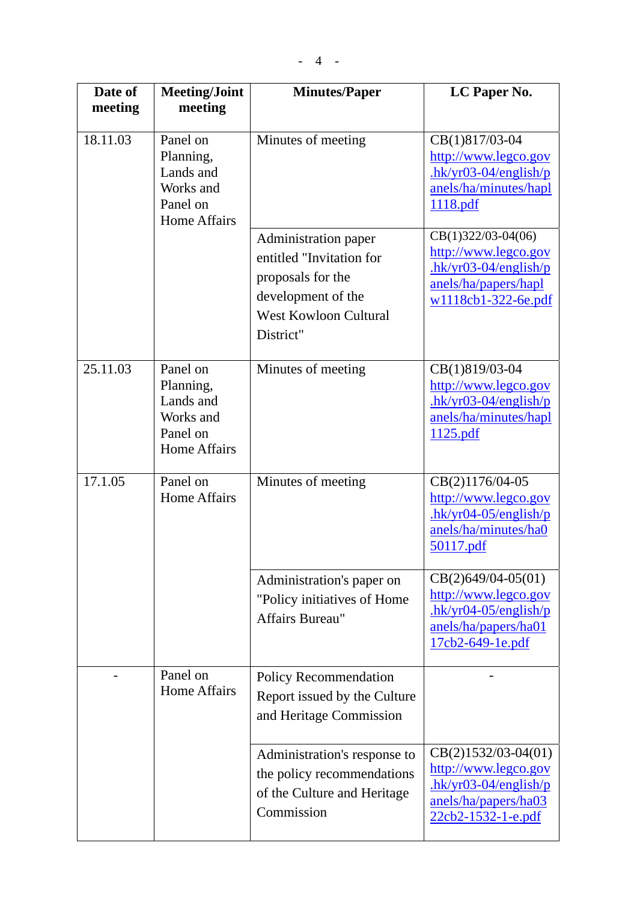| Date of  | <b>Meeting/Joint</b>                                                               | <b>Minutes/Paper</b>                                                                                                                     | LC Paper No.                                                                                                          |
|----------|------------------------------------------------------------------------------------|------------------------------------------------------------------------------------------------------------------------------------------|-----------------------------------------------------------------------------------------------------------------------|
| meeting  | meeting                                                                            |                                                                                                                                          |                                                                                                                       |
| 18.11.03 | Panel on<br>Planning,<br>Lands and<br>Works and<br>Panel on<br><b>Home Affairs</b> | Minutes of meeting                                                                                                                       | CB(1)817/03-04<br>http://www.legco.gov<br>$-hk/yr03-04/english/p$<br>anels/ha/minutes/hapl<br>1118.pdf                |
|          |                                                                                    | Administration paper<br>entitled "Invitation for<br>proposals for the<br>development of the<br><b>West Kowloon Cultural</b><br>District" | $CB(1)322/03-04(06)$<br>http://www.legco.gov<br>$hk/yr03-04/english/p$<br>anels/ha/papers/hapl<br>w1118cb1-322-6e.pdf |
| 25.11.03 | Panel on<br>Planning,<br>Lands and<br>Works and<br>Panel on<br><b>Home Affairs</b> | Minutes of meeting                                                                                                                       | CB(1)819/03-04<br>http://www.legco.gov<br>$-hk/yr03-04/english/p$<br>anels/ha/minutes/hapl<br>1125.pdf                |
| 17.1.05  | Panel on<br><b>Home Affairs</b>                                                    | Minutes of meeting                                                                                                                       | CB(2)1176/04-05<br>http://www.legco.gov<br>$hk/yr04-05/english/p$<br>anels/ha/minutes/ha0<br><u>50117.pdf</u>         |
|          |                                                                                    | Administration's paper on<br>"Policy initiatives of Home<br>Affairs Bureau"                                                              | $CB(2)649/04-05(01)$<br>http://www.legco.gov<br>$hk/yr04-05/english/p$<br>anels/ha/papers/ha01<br>17cb2-649-1e.pdf    |
|          | Panel on<br><b>Home Affairs</b>                                                    | Policy Recommendation<br>Report issued by the Culture<br>and Heritage Commission                                                         |                                                                                                                       |
|          |                                                                                    | Administration's response to<br>the policy recommendations<br>of the Culture and Heritage<br>Commission                                  | $CB(2)1532/03-04(01)$<br>http://www.legco.gov<br>$hk/yr03-04/english/p$<br>anels/ha/papers/ha03<br>22cb2-1532-1-e.pdf |